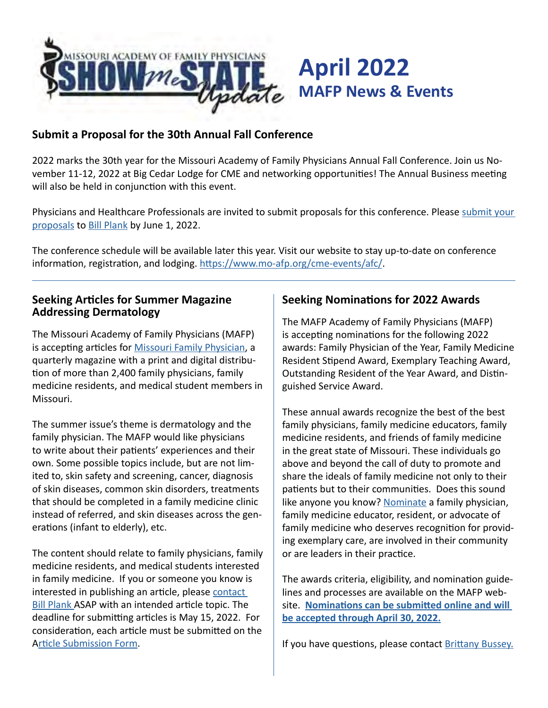

### **Submit a Proposal for the 30th Annual Fall Conference**

2022 marks the 30th year for the Missouri Academy of Family Physicians Annual Fall Conference. Join us November 11-12, 2022 at Big Cedar Lodge for CME and networking opportunities! The Annual Business meeting will also be held in conjunction with this event.

Physicians and Healthcare Professionals are invited to submit proposals for this conference. Please [submit your](https://www.mo-afp.org/cme-events/call-for-presentations/)  [proposals](https://www.mo-afp.org/cme-events/call-for-presentations/) to [Bill Plank](mailto:bplank%40mo-afp.org?subject=) by June 1, 2022.

The conference schedule will be available later this year. Visit our website to stay up-to-date on conference information, registration, and lodging.<https://www.mo-afp.org/cme-events/afc/>.

### **Seeking Articles for Summer Magazine Addressing Dermatology**

The Missouri Academy of Family Physicians (MAFP) is accepting articles for **Missouri Family Physician**, a quarterly magazine with a print and digital distribution of more than 2,400 family physicians, family medicine residents, and medical student members in Missouri.

The summer issue's theme is dermatology and the family physician. The MAFP would like physicians to write about their patients' experiences and their own. Some possible topics include, but are not limited to, skin safety and screening, cancer, diagnosis of skin diseases, common skin disorders, treatments that should be completed in a family medicine clinic instead of referred, and skin diseases across the generations (infant to elderly), etc.

The content should relate to family physicians, family medicine residents, and medical students interested in family medicine. If you or someone you know is interested in publishing an article, please [contact](mailto:bplank%40mo-afp.org?subject=)  **[Bill Plank](mailto:bplank%40mo-afp.org?subject=) ASAP with an intended article topic. The** deadline for submitting articles is May 15, 2022. For consideration, each article must be submitted on the A[rticle Submission Form](https://www.mo-afp.org/wp-content/uploads/CALL-FOR-ARTICLES-FILLABLE.pdf).

### **Seeking Nominations for 2022 Awards**

The MAFP Academy of Family Physicians (MAFP) is accepting nominations for the following 2022 awards: Family Physician of the Year, Family Medicine Resident Stipend Award, Exemplary Teaching Award, Outstanding Resident of the Year Award, and Distinguished Service Award.

These annual awards recognize the best of the best family physicians, family medicine educators, family medicine residents, and friends of family medicine in the great state of Missouri. These individuals go above and beyond the call of duty to promote and share the ideals of family medicine not only to their patients but to their communities. Does this sound like anyone you know? [Nominate](https://www.mo-afp.org/join/member-recognition/) a family physician, family medicine educator, resident, or advocate of family medicine who deserves recognition for providing exemplary care, are involved in their community or are leaders in their practice.

The awards criteria, eligibility, and nomination guidelines and processes are available on the MAFP website. **[Nominations can be submitted online and will](https://www.mo-afp.org/join/member-recognition/)  [be accepted through April 30, 2022.](https://www.mo-afp.org/join/member-recognition/)**

If you have questions, please contact [Brittany Bussey.](mailto:bbussey%40mo-afp.org?subject=)